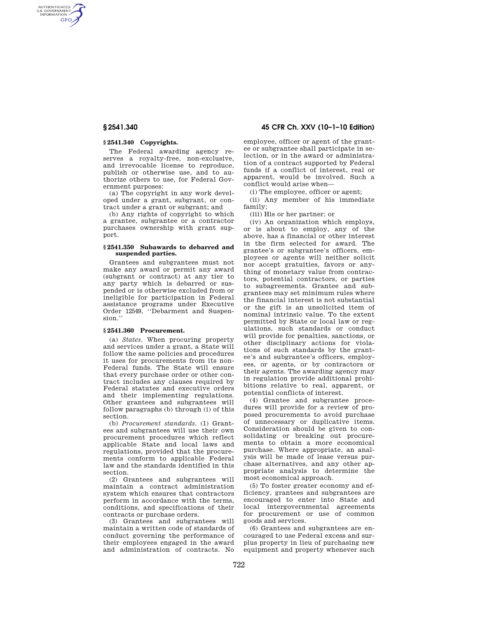AUTHENTICATED<br>U.S. GOVERNMENT<br>INFORMATION **GPO** 

## **§ 2541.340 Copyrights.**

The Federal awarding agency reserves a royalty-free, non-exclusive, and irrevocable license to reproduce, publish or otherwise use, and to authorize others to use, for Federal Government purposes:

(a) The copyright in any work developed under a grant, subgrant, or contract under a grant or subgrant; and

(b) Any rights of copyright to which a grantee, subgrantee or a contractor purchases ownership with grant support.

### **§ 2541.350 Subawards to debarred and suspended parties.**

Grantees and subgrantees must not make any award or permit any award (subgrant or contract) at any tier to any party which is debarred or suspended or is otherwise excluded from or ineligible for participation in Federal assistance programs under Executive Order 12549, ''Debarment and Suspension.''

## **§ 2541.360 Procurement.**

(a) *States.* When procuring property and services under a grant, a State will follow the same policies and procedures it uses for procurements from its non-Federal funds. The State will ensure that every purchase order or other contract includes any clauses required by Federal statutes and executive orders and their implementing regulations. Other grantees and subgrantees will follow paragraphs (b) through (i) of this section.

(b) *Procurement standards.* (1) Grantees and subgrantees will use their own procurement procedures which reflect applicable State and local laws and regulations, provided that the procurements conform to applicable Federal law and the standards identified in this section.

(2) Grantees and subgrantees will maintain a contract administration system which ensures that contractors perform in accordance with the terms, conditions, and specifications of their contracts or purchase orders.

(3) Grantees and subgrantees will maintain a written code of standards of conduct governing the performance of their employees engaged in the award and administration of contracts. No

**§ 2541.340 45 CFR Ch. XXV (10–1–10 Edition)** 

employee, officer or agent of the grantee or subgrantee shall participate in selection, or in the award or administration of a contract supported by Federal funds if a conflict of interest, real or apparent, would be involved. Such a conflict would arise when—

(i) The employee, officer or agent;

(ii) Any member of his immediate family;

(iii) His or her partner; or

(iv) An organization which employs, or is about to employ, any of the above, has a financial or other interest in the firm selected for award. The grantee's or subgrantee's officers, employees or agents will neither solicit nor accept gratuities, favors or anything of monetary value from contractors, potential contractors, or parties to subagreements. Grantee and subgrantees may set minimum rules where the financial interest is not substantial or the gift is an unsolicited item of nominal intrinsic value. To the extent permitted by State or local law or regulations, such standards or conduct will provide for penalties, sanctions, or other disciplinary actions for violations of such standards by the grantee's and subgrantee's officers, employees, or agents, or by contractors or their agents. The awarding agency may in regulation provide additional prohibitions relative to real, apparent, or potential conflicts of interest.

(4) Grantee and subgrantee procedures will provide for a review of proposed procurements to avoid purchase of unnecessary or duplicative items. Consideration should be given to consolidating or breaking out procurements to obtain a more economical purchase. Where appropriate, an analysis will be made of lease versus purchase alternatives, and any other appropriate analysis to determine the most economical approach.

(5) To foster greater economy and efficiency, grantees and subgrantees are encouraged to enter into State and local intergovernmental agreements for procurement or use of common goods and services.

(6) Grantees and subgrantees are encouraged to use Federal excess and surplus property in lieu of purchasing new equipment and property whenever such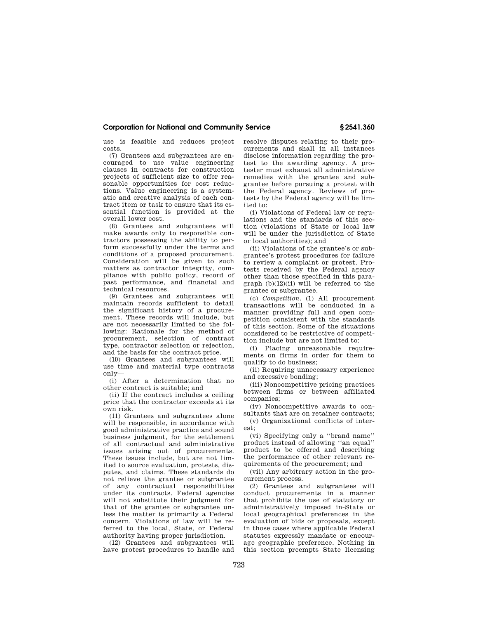## **Corporation for National and Community Service § 2541.360**

use is feasible and reduces project costs.

(7) Grantees and subgrantees are encouraged to use value engineering clauses in contracts for construction projects of sufficient size to offer reasonable opportunities for cost reductions. Value engineering is a systematic and creative analysis of each contract item or task to ensure that its essential function is provided at the overall lower cost.

(8) Grantees and subgrantees will make awards only to responsible contractors possessing the ability to perform successfully under the terms and conditions of a proposed procurement. Consideration will be given to such matters as contractor integrity, compliance with public policy, record of past performance, and financial and technical resources.

(9) Grantees and subgrantees will maintain records sufficient to detail the significant history of a procurement. These records will include, but are not necessarily limited to the following: Rationale for the method of procurement, selection of contract type, contractor selection or rejection, and the basis for the contract price.

(10) Grantees and subgrantees will use time and material type contracts only—

(i) After a determination that no other contract is suitable; and

(ii) If the contract includes a ceiling price that the contractor exceeds at its own risk.

(11) Grantees and subgrantees alone will be responsible, in accordance with good administrative practice and sound business judgment, for the settlement of all contractual and administrative issues arising out of procurements. These issues include, but are not limited to source evaluation, protests, disputes, and claims. These standards do not relieve the grantee or subgrantee of any contractual responsibilities under its contracts. Federal agencies will not substitute their judgment for that of the grantee or subgrantee unless the matter is primarily a Federal concern. Violations of law will be referred to the local, State, or Federal authority having proper jurisdiction.

(12) Grantees and subgrantees will have protest procedures to handle and resolve disputes relating to their procurements and shall in all instances disclose information regarding the protest to the awarding agency. A protester must exhaust all administrative remedies with the grantee and subgrantee before pursuing a protest with the Federal agency. Reviews of protests by the Federal agency will be limited to:

(i) Violations of Federal law or regulations and the standards of this section (violations of State or local law will be under the jurisdiction of State or local authorities); and

(ii) Violations of the grantee's or subgrantee's protest procedures for failure to review a complaint or protest. Protests received by the Federal agency other than those specified in this para $graph (b)(12)(ii) will be referred to the$ grantee or subgrantee.

(c) *Competition.* (1) All procurement transactions will be conducted in a manner providing full and open competition consistent with the standards of this section. Some of the situations considered to be restrictive of competition include but are not limited to:

(i) Placing unreasonable requirements on firms in order for them to qualify to do business;

(ii) Requiring unnecessary experience and excessive bonding;

(iii) Noncompetitive pricing practices between firms or between affiliated companies;

(iv) Noncompetitive awards to consultants that are on retainer contracts;

(v) Organizational conflicts of interest;

(vi) Specifying only a ''brand name'' product instead of allowing ''an equal'' product to be offered and describing the performance of other relevant requirements of the procurement; and

(vii) Any arbitrary action in the procurement process.

(2) Grantees and subgrantees will conduct procurements in a manner that prohibits the use of statutory or administratively imposed in-State or local geographical preferences in the evaluation of bids or proposals, except in those cases where applicable Federal statutes expressly mandate or encourage geographic preference. Nothing in this section preempts State licensing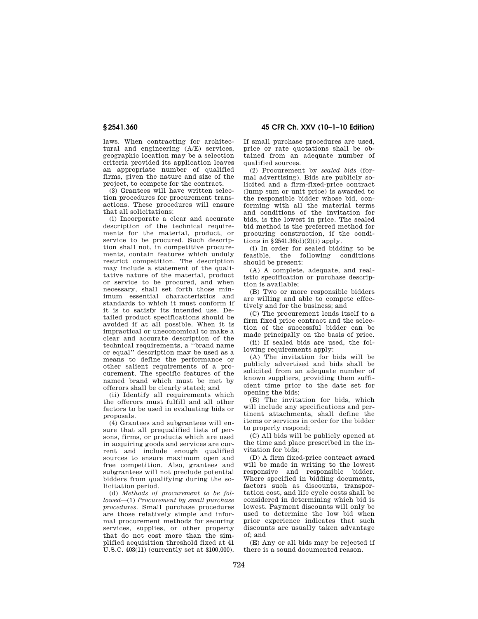laws. When contracting for architectural and engineering (A/E) services, geographic location may be a selection criteria provided its application leaves an appropriate number of qualified firms, given the nature and size of the project, to compete for the contract.

(3) Grantees will have written selection procedures for procurement transactions. These procedures will ensure that all solicitations:

(i) Incorporate a clear and accurate description of the technical requirements for the material, product, or service to be procured. Such description shall not, in competitive procurements, contain features which unduly restrict competition. The description may include a statement of the qualitative nature of the material, product or service to be procured, and when necessary, shall set forth those minimum essential characteristics and standards to which it must conform if it is to satisfy its intended use. Detailed product specifications should be avoided if at all possible. When it is impractical or uneconomical to make a clear and accurate description of the technical requirements, a ''brand name or equal'' description may be used as a means to define the performance or other salient requirements of a procurement. The specific features of the named brand which must be met by offerors shall be clearly stated; and

(ii) Identify all requirements which the offerors must fulfill and all other factors to be used in evaluating bids or proposals.

(4) Grantees and subgrantees will ensure that all prequalified lists of persons, firms, or products which are used in acquiring goods and services are current and include enough qualified sources to ensure maximum open and free competition. Also, grantees and subgrantees will not preclude potential bidders from qualifying during the solicitation period.

(d) *Methods of procurement to be followed*—(1) *Procurement by small purchase procedures.* Small purchase procedures are those relatively simple and informal procurement methods for securing services, supplies, or other property that do not cost more than the simplified acquisition threshold fixed at 41 U.S.C. 403(11) (currently set at \$100,000).

**§ 2541.360 45 CFR Ch. XXV (10–1–10 Edition)** 

If small purchase procedures are used, price or rate quotations shall be obtained from an adequate number of qualified sources.

(2) Procurement by *sealed bids* (formal advertising). Bids are publicly solicited and a firm-fixed-price contract (lump sum or unit price) is awarded to the responsible bidder whose bid, conforming with all the material terms and conditions of the invitation for bids, is the lowest in price. The sealed bid method is the preferred method for procuring construction, if the conditions in §2541.36(d)(2)(i) apply.

(i) In order for sealed bidding to be feasible, the following conditions should be present:

(A) A complete, adequate, and realistic specification or purchase description is available;

(B) Two or more responsible bidders are willing and able to compete effectively and for the business; and

(C) The procurement lends itself to a firm fixed price contract and the selection of the successful bidder can be made principally on the basis of price.

(ii) If sealed bids are used, the following requirements apply:

(A) The invitation for bids will be publicly advertised and bids shall be solicited from an adequate number of known suppliers, providing them sufficient time prior to the date set for opening the bids;

(B) The invitation for bids, which will include any specifications and pertinent attachments, shall define the items or services in order for the bidder to properly respond;

(C) All bids will be publicly opened at the time and place prescribed in the invitation for bids;

(D) A firm fixed-price contract award will be made in writing to the lowest responsive and responsible bidder. Where specified in bidding documents, factors such as discounts, transportation cost, and life cycle costs shall be considered in determining which bid is lowest. Payment discounts will only be used to determine the low bid when prior experience indicates that such discounts are usually taken advantage of; and

(E) Any or all bids may be rejected if there is a sound documented reason.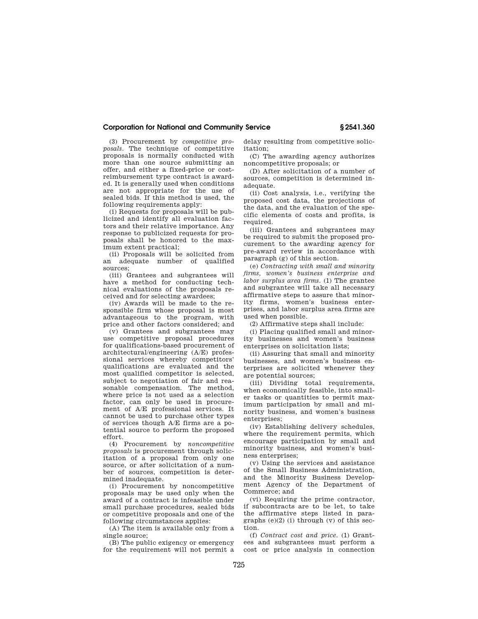## **Corporation for National and Community Service § 2541.360**

(3) Procurement by *competitive proposals.* The technique of competitive proposals is normally conducted with more than one source submitting an offer, and either a fixed-price or costreimbursement type contract is awarded. It is generally used when conditions are not appropriate for the use of sealed bids. If this method is used, the following requirements apply:

(i) Requests for proposals will be publicized and identify all evaluation factors and their relative importance. Any response to publicized requests for proposals shall be honored to the maximum extent practical;

(ii) Proposals will be solicited from an adequate number of qualified sources;

(iii) Grantees and subgrantees will have a method for conducting technical evaluations of the proposals received and for selecting awardees;

(iv) Awards will be made to the responsible firm whose proposal is most advantageous to the program, with price and other factors considered; and

(v) Grantees and subgrantees may use competitive proposal procedures for qualifications-based procurement of architectural/engineering (A/E) professional services whereby competitors' qualifications are evaluated and the most qualified competitor is selected, subject to negotiation of fair and reasonable compensation. The method, where price is not used as a selection factor, can only be used in procurement of A/E professional services. It cannot be used to purchase other types of services though A/E firms are a potential source to perform the proposed effort.

(4) Procurement by *noncompetitive proposals* is procurement through solicitation of a proposal from only one source, or after solicitation of a number of sources, competition is determined inadequate.

(i) Procurement by noncompetitive proposals may be used only when the award of a contract is infeasible under small purchase procedures, sealed bids or competitive proposals and one of the following circumstances applies:

(A) The item is available only from a single source;

(B) The public exigency or emergency for the requirement will not permit a delay resulting from competitive solicitation;

(C) The awarding agency authorizes noncompetitive proposals; or

(D) After solicitation of a number of sources, competition is determined inadequate.

(ii) Cost analysis, i.e., verifying the proposed cost data, the projections of the data, and the evaluation of the specific elements of costs and profits, is required.

(iii) Grantees and subgrantees may be required to submit the proposed procurement to the awarding agency for pre-award review in accordance with paragraph (g) of this section.

(e) *Contracting with small and minority firms, women's business enterprise and labor surplus area firms.* (1) The grantee and subgrantee will take all necessary affirmative steps to assure that minority firms, women's business enterprises, and labor surplus area firms are used when possible.

(2) Affirmative steps shall include:

(i) Placing qualified small and minority businesses and women's business enterprises on solicitation lists;

(ii) Assuring that small and minority businesses, and women's business enterprises are solicited whenever they are potential sources;

(iii) Dividing total requirements, when economically feasible, into smaller tasks or quantities to permit maximum participation by small and minority business, and women's business enterprises;

(iv) Establishing delivery schedules, where the requirement permits, which encourage participation by small and minority business, and women's business enterprises;

(v) Using the services and assistance of the Small Business Administration, and the Minority Business Development Agency of the Department of Commerce; and

(vi) Requiring the prime contractor, if subcontracts are to be let, to take the affirmative steps listed in paragraphs (e)(2) (i) through (v) of this section.

(f) *Contract cost and price.* (1) Grantees and subgrantees must perform a cost or price analysis in connection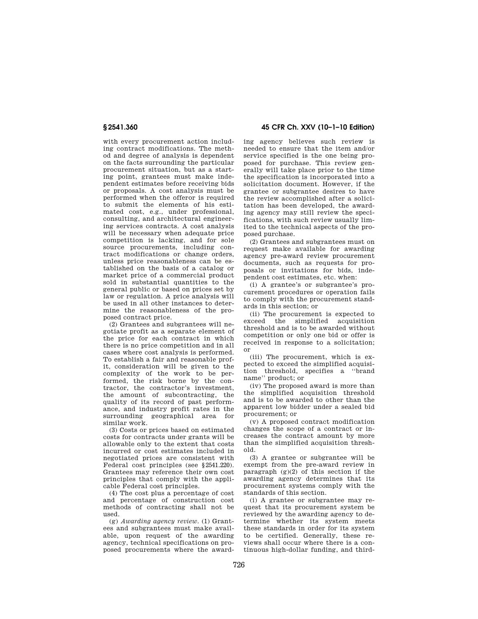with every procurement action including contract modifications. The method and degree of analysis is dependent on the facts surrounding the particular procurement situation, but as a starting point, grantees must make independent estimates before receiving bids or proposals. A cost analysis must be performed when the offeror is required to submit the elements of his estimated cost, e.g., under professional, consulting, and architectural engineering services contracts. A cost analysis will be necessary when adequate price competition is lacking, and for sole source procurements, including contract modifications or change orders, unless price reasonableness can be established on the basis of a catalog or market price of a commercial product sold in substantial quantities to the general public or based on prices set by law or regulation. A price analysis will be used in all other instances to determine the reasonableness of the proposed contract price.

(2) Grantees and subgrantees will negotiate profit as a separate element of the price for each contract in which there is no price competition and in all cases where cost analysis is performed. To establish a fair and reasonable profit, consideration will be given to the complexity of the work to be performed, the risk borne by the contractor, the contractor's investment, the amount of subcontracting, the quality of its record of past performance, and industry profit rates in the surrounding geographical area for similar work.

(3) Costs or prices based on estimated costs for contracts under grants will be allowable only to the extent that costs incurred or cost estimates included in negotiated prices are consistent with Federal cost principles (see §2541.220). Grantees may reference their own cost principles that comply with the applicable Federal cost principles.

(4) The cost plus a percentage of cost and percentage of construction cost methods of contracting shall not be used.

(g) *Awarding agency review.* (1) Grantees and subgrantees must make available, upon request of the awarding agency, technical specifications on proposed procurements where the award-

# **§ 2541.360 45 CFR Ch. XXV (10–1–10 Edition)**

ing agency believes such review is needed to ensure that the item and/or service specified is the one being proposed for purchase. This review generally will take place prior to the time the specification is incorporated into a solicitation document. However, if the grantee or subgrantee desires to have the review accomplished after a solicitation has been developed, the awarding agency may still review the specifications, with such review usually limited to the technical aspects of the proposed purchase.

(2) Grantees and subgrantees must on request make available for awarding agency pre-award review procurement documents, such as requests for proposals or invitations for bids, independent cost estimates, etc. when:

(i) A grantee's or subgrantee's procurement procedures or operation fails to comply with the procurement standards in this section; or

(ii) The procurement is expected to exceed the simplified acquisition threshold and is to be awarded without competition or only one bid or offer is received in response to a solicitation; or

(iii) The procurement, which is expected to exceed the simplified acquisition threshold, specifies a ''brand name'' product; or

(iv) The proposed award is more than the simplified acquisition threshold and is to be awarded to other than the apparent low bidder under a sealed bid procurement; or

(v) A proposed contract modification changes the scope of a contract or increases the contract amount by more than the simplified acquisition threshold.

(3) A grantee or subgrantee will be exempt from the pre-award review in paragraph  $(g)(2)$  of this section if the awarding agency determines that its procurement systems comply with the standards of this section.

(i) A grantee or subgrantee may request that its procurement system be reviewed by the awarding agency to determine whether its system meets these standards in order for its system to be certified. Generally, these reviews shall occur where there is a continuous high-dollar funding, and third-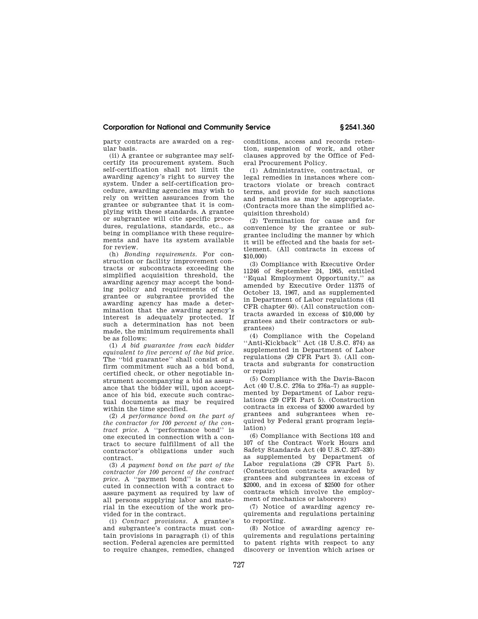## **Corporation for National and Community Service § 2541.360**

party contracts are awarded on a regular basis.

(ii) A grantee or subgrantee may selfcertify its procurement system. Such self-certification shall not limit the awarding agency's right to survey the system. Under a self-certification procedure, awarding agencies may wish to rely on written assurances from the grantee or subgrantee that it is complying with these standards. A grantee or subgrantee will cite specific procedures, regulations, standards, etc., as being in compliance with these requirements and have its system available for review.

(h) *Bonding requirements.* For construction or facility improvement contracts or subcontracts exceeding the simplified acquisition threshold, the awarding agency may accept the bonding policy and requirements of the grantee or subgrantee provided the awarding agency has made a determination that the awarding agency's interest is adequately protected. If such a determination has not been made, the minimum requirements shall be as follows:

(1) *A bid guarantee from each bidder equivalent to five percent of the bid price.*  The ''bid guarantee'' shall consist of a firm commitment such as a bid bond, certified check, or other negotiable instrument accompanying a bid as assurance that the bidder will, upon acceptance of his bid, execute such contractual documents as may be required within the time specified.

(2) *A performance bond on the part of the contractor for 100 percent of the contract price.* A ''performance bond'' is one executed in connection with a contract to secure fulfillment of all the contractor's obligations under such contract.

(3) *A payment bond on the part of the contractor for 100 percent of the contract price.* A ''payment bond'' is one executed in connection with a contract to assure payment as required by law of all persons supplying labor and material in the execution of the work provided for in the contract.

(i) *Contract provisions.* A grantee's and subgrantee's contracts must contain provisions in paragraph (i) of this section. Federal agencies are permitted to require changes, remedies, changed

conditions, access and records retention, suspension of work, and other clauses approved by the Office of Federal Procurement Policy.

(1) Administrative, contractual, or legal remedies in instances where contractors violate or breach contract terms, and provide for such sanctions and penalties as may be appropriate. (Contracts more than the simplified acquisition threshold)

(2) Termination for cause and for convenience by the grantee or subgrantee including the manner by which it will be effected and the basis for settlement. (All contracts in excess of \$10,000)

(3) Compliance with Executive Order 11246 of September 24, 1965, entitled ''Equal Employment Opportunity,'' as amended by Executive Order 11375 of October 13, 1967, and as supplemented in Department of Labor regulations (41 CFR chapter 60). (All construction contracts awarded in excess of \$10,000 by grantees and their contractors or subgrantees)

(4) Compliance with the Copeland ''Anti-Kickback'' Act (18 U.S.C. 874) as supplemented in Department of Labor regulations (29 CFR Part 3). (All contracts and subgrants for construction or repair)

(5) Compliance with the Davis-Bacon Act (40 U.S.C. 276a to 276a–7) as supplemented by Department of Labor regulations (29 CFR Part 5). (Construction contracts in excess of \$2000 awarded by grantees and subgrantees when required by Federal grant program legislation)

(6) Compliance with Sections 103 and 107 of the Contract Work Hours and Safety Standards Act (40 U.S.C. 327–330) as supplemented by Department of Labor regulations (29 CFR Part 5). (Construction contracts awarded by grantees and subgrantees in excess of \$2000, and in excess of \$2500 for other contracts which involve the employment of mechanics or laborers)

(7) Notice of awarding agency requirements and regulations pertaining to reporting.

(8) Notice of awarding agency requirements and regulations pertaining to patent rights with respect to any discovery or invention which arises or